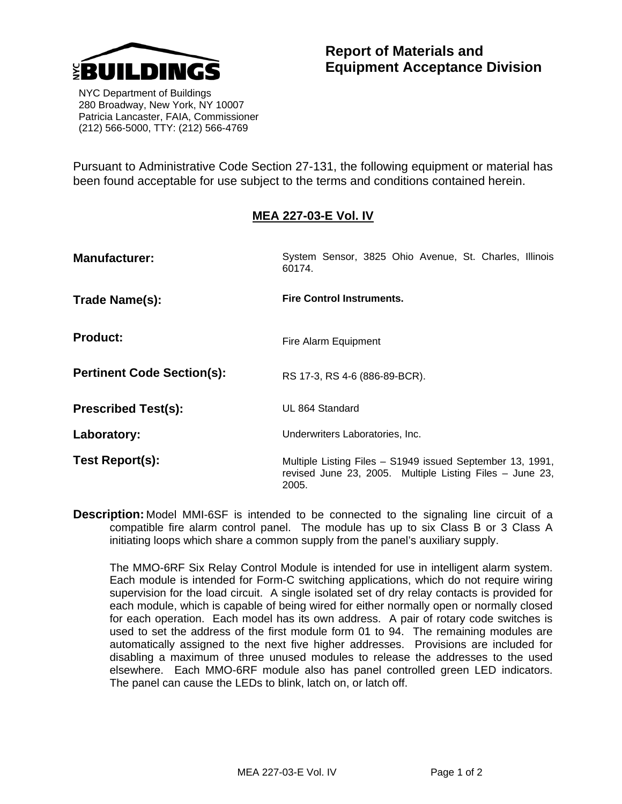

## **Report of Materials and Equipment Acceptance Division**

 NYC Department of Buildings 280 Broadway, New York, NY 10007 Patricia Lancaster, FAIA, Commissioner (212) 566-5000, TTY: (212) 566-4769

Pursuant to Administrative Code Section 27-131, the following equipment or material has been found acceptable for use subject to the terms and conditions contained herein.

## **MEA 227-03-E Vol. IV**

| <b>Manufacturer:</b>              | System Sensor, 3825 Ohio Avenue, St. Charles, Illinois<br>60174.                                                               |
|-----------------------------------|--------------------------------------------------------------------------------------------------------------------------------|
| Trade Name(s):                    | <b>Fire Control Instruments.</b>                                                                                               |
| <b>Product:</b>                   | Fire Alarm Equipment                                                                                                           |
| <b>Pertinent Code Section(s):</b> | RS 17-3, RS 4-6 (886-89-BCR).                                                                                                  |
| <b>Prescribed Test(s):</b>        | UL 864 Standard                                                                                                                |
| Laboratory:                       | Underwriters Laboratories, Inc.                                                                                                |
| Test Report(s):                   | Multiple Listing Files - S1949 issued September 13, 1991,<br>revised June 23, 2005. Multiple Listing Files - June 23,<br>2005. |

**Description:** Model MMI-6SF is intended to be connected to the signaling line circuit of a compatible fire alarm control panel. The module has up to six Class B or 3 Class A initiating loops which share a common supply from the panel's auxiliary supply.

The MMO-6RF Six Relay Control Module is intended for use in intelligent alarm system. Each module is intended for Form-C switching applications, which do not require wiring supervision for the load circuit. A single isolated set of dry relay contacts is provided for each module, which is capable of being wired for either normally open or normally closed for each operation. Each model has its own address. A pair of rotary code switches is used to set the address of the first module form 01 to 94. The remaining modules are automatically assigned to the next five higher addresses. Provisions are included for disabling a maximum of three unused modules to release the addresses to the used elsewhere. Each MMO-6RF module also has panel controlled green LED indicators. The panel can cause the LEDs to blink, latch on, or latch off.